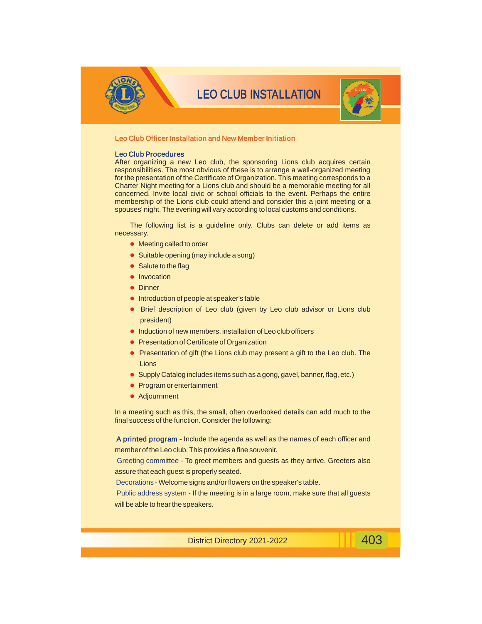

## LEO CLUB INSTALLATION



### Leo Club Officer Installation and New Member Initiation

#### Leo Club Procedures

After organizing a new Leo club, the sponsoring Lions club acquires certain responsibilities. The most obvious of these is to arrange a well-organized meeting for the presentation of the Certificate of Organization. This meeting corresponds to a Charter Night meeting for a Lions club and should be a memorable meeting for all concerned. Invite local civic or school officials to the event. Perhaps the entire membership of the Lions club could attend and consider this a joint meeting or a spouses' night. The evening will vary according to local customs and conditions.

The following list is a guideline only. Clubs can delete or add items as necessary.

- Meeting called to order
- Suitable opening (may include a song)
- Salute to the flag
- **·** Invocation
- Dinner
- **.** Introduction of people at speaker's table
- Brief description of Leo club (given by Leo club advisor or Lions club president)
- **.** Induction of new members, installation of Leo club officers
- **Presentation of Certificate of Organization**
- Presentation of gift (the Lions club may present a gift to the Leo club. The Lions
- Supply Catalog includes items such as a gong, gavel, banner, flag, etc.)
- Program or entertainment
- Adjournment

In a meeting such as this, the small, often overlooked details can add much to the final success of the function. Consider the following:

A printed program - Include the agenda as well as the names of each officer and member of the Leo club. This provides a fine souvenir.

Greeting committee - To greet members and guests as they arrive. Greeters also assure that each guest is properly seated.

Decorations - Welcome signs and/or flowers on the speaker's table.

Public address system - If the meeting is in a large room, make sure that all guests will be able to hear the speakers.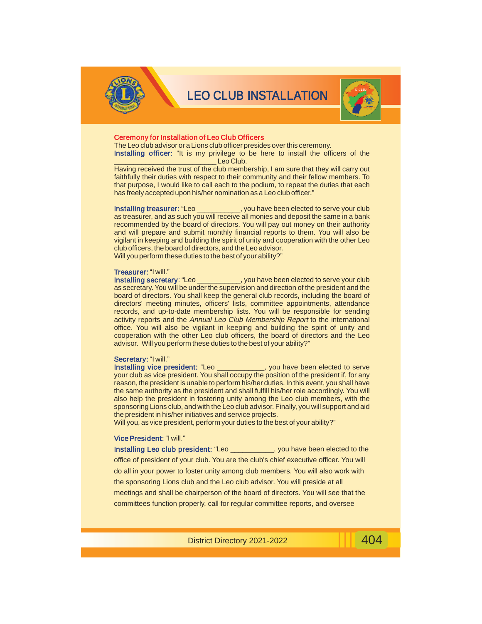

## LEO CLUB INSTALLATION



#### Ceremony for Installation of Leo Club Officers

The Leo club advisor or a Lions club officer presides over this ceremony.

Installing officer: "It is my privilege to be here to install the officers of the Leo Club.

Having received the trust of the club membership, I am sure that they will carry out faithfully their duties with respect to their community and their fellow members. To that purpose, I would like to call each to the podium, to repeat the duties that each has freely accepted upon his/her nomination as a Leo club officer."

\_\_, you have been elected to serve your club as treasurer, and as such you will receive all monies and deposit the same in a bank recommended by the board of directors. You will pay out money on their authority and will prepare and submit monthly financial reports to them. You will also be vigilant in keeping and building the spirit of unity and cooperation with the other Leo club officers, the board of directors, and the Leo advisor. Will you perform these duties to the best of your ability?" Installing treasurer: "Leo \_\_

### Treasurer: "I will."

\_, you have been elected to serve your club as secretary. You will be under the supervision and direction of the president and the board of directors. You shall keep the general club records, including the board of directors' meeting minutes, officers' lists, committee appointments, attendance records, and up-to-date membership lists. You will be responsible for sending activity reports and the Annual Leo Club Membership Report to the international office. You will also be vigilant in keeping and building the spirit of unity and cooperation with the other Leo club officers, the board of directors and the Leo advisor. Will you perform these duties to the best of your ability?" Installing secretary:

#### Secretary: "I will."

\_\_\_, you have been elected to serve your club as vice president. You shall occupy the position of the president if, for any reason, the president is unable to perform his/her duties. In this event, you shall have the same authority as the president and shall fulfill his/her role accordingly. You will also help the president in fostering unity among the Leo club members, with the sponsoring Lions club, and with the Leo club advisor. Finally, you will support and aid the president in his/her initiatives and service projects. Installing vice president: "Leo \_\_

Will you, as vice president, perform your duties to the best of your ability?"

#### Vice President: "I will."

Installing Leo club president: "Leo \_\_\_\_\_\_\_\_\_\_\_, you have been elected to the office of president of your club. You are the club's chief executive officer. You will do all in your power to foster unity among club members. You will also work with the sponsoring Lions club and the Leo club advisor. You will preside at all meetings and shall be chairperson of the board of directors. You will see that the committees function properly, call for regular committee reports, and oversee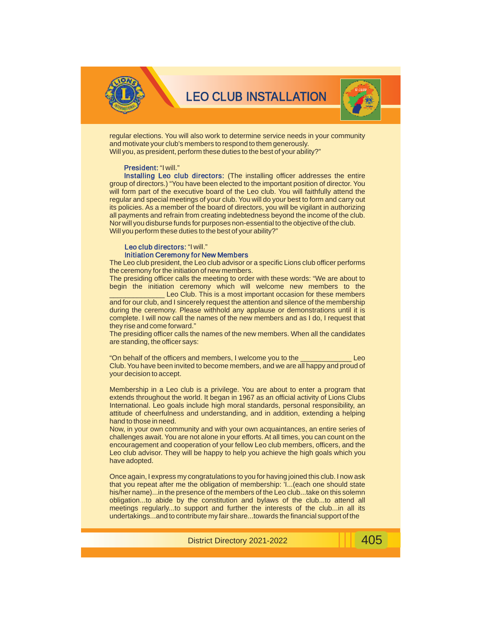



regular elections. You will also work to determine service needs in your community and motivate your club's members to respond to them generously. Will you, as president, perform these duties to the best of your ability?"

#### President: "I will."

Installing Leo club directors: (The installing officer addresses the entire group of directors.) "You have been elected to the important position of director. You will form part of the executive board of the Leo club. You will faithfully attend the regular and special meetings of your club. You will do your best to form and carry out its policies. As a member of the board of directors, you will be vigilant in authorizing all payments and refrain from creating indebtedness beyond the income of the club. Nor will you disburse funds for purposes non-essential to the objective of the club. Will you perform these duties to the best of your ability?"

#### Leo club directors: "I will." Initiation Ceremony for New Members

The Leo club president, the Leo club advisor or a specific Lions club officer performs the ceremony for the initiation of new members.

The presiding officer calls the meeting to order with these words: "We are about to begin the initiation ceremony which will welcome new members to the

Leo Club. This is a most important occasion for these members and for our club, and I sincerely request the attention and silence of the membership during the ceremony. Please withhold any applause or demonstrations until it is complete. I will now call the names of the new members and as I do, I request that they rise and come forward."

The presiding officer calls the names of the new members. When all the candidates are standing, the officer says:

"On behalf of the officers and members, I welcome you to the \_\_\_\_\_\_\_\_\_\_\_\_\_ Leo Club. You have been invited to become members, and we are all happy and proud of your decision to accept.

Membership in a Leo club is a privilege. You are about to enter a program that extends throughout the world. It began in 1967 as an official activity of Lions Clubs International. Leo goals include high moral standards, personal responsibility, an attitude of cheerfulness and understanding, and in addition, extending a helping hand to those in need.

Now, in your own community and with your own acquaintances, an entire series of challenges await. You are not alone in your efforts. At all times, you can count on the encouragement and cooperation of your fellow Leo club members, officers, and the Leo club advisor. They will be happy to help you achieve the high goals which you have adopted.

Once again, I express my congratulations to you for having joined this club. I now ask that you repeat after me the obligation of membership: 'I...(each one should state his/her name)...in the presence of the members of the Leo club...take on this solemn obligation...to abide by the constitution and bylaws of the club...to attend all meetings regularly...to support and further the interests of the club...in all its undertakings...and to contribute my fair share...towards the financial support of the